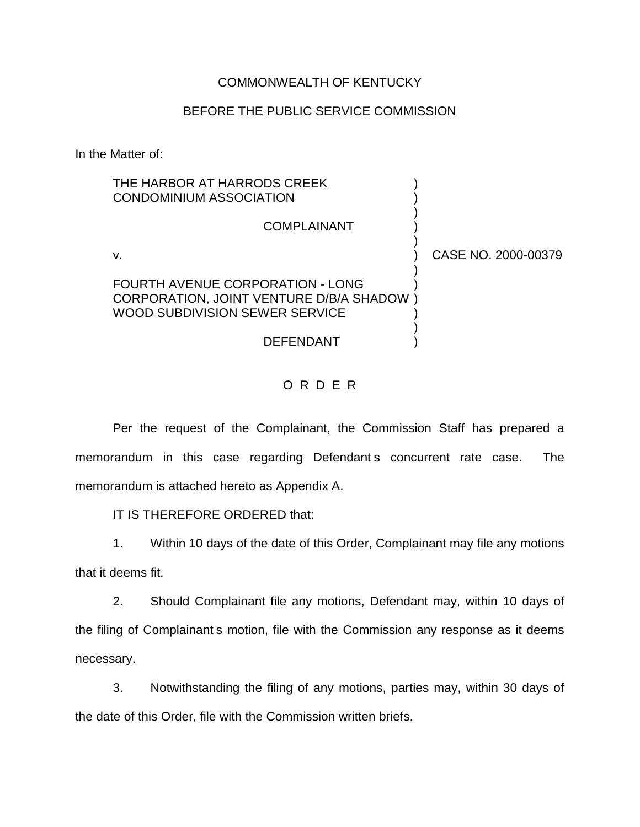#### COMMONWEALTH OF KENTUCKY

#### BEFORE THE PUBLIC SERVICE COMMISSION

In the Matter of:

| THE HARBOR AT HARRODS CREEK<br><b>CONDOMINIUM ASSOCIATION</b>                                                 |                     |
|---------------------------------------------------------------------------------------------------------------|---------------------|
| <b>COMPLAINANT</b>                                                                                            |                     |
| v.                                                                                                            | CASE NO. 2000-00379 |
| FOURTH AVENUE CORPORATION - LONG<br>CORPORATION, JOINT VENTURE D/B/A SHADOW<br>WOOD SUBDIVISION SEWER SERVICE |                     |
| <b>DEFENDANT</b>                                                                                              |                     |

## O R D E R

Per the request of the Complainant, the Commission Staff has prepared a memorandum in this case regarding Defendant s concurrent rate case. The memorandum is attached hereto as Appendix A.

IT IS THEREFORE ORDERED that:

1. Within 10 days of the date of this Order, Complainant may file any motions that it deems fit.

2. Should Complainant file any motions, Defendant may, within 10 days of the filing of Complainant s motion, file with the Commission any response as it deems necessary.

3. Notwithstanding the filing of any motions, parties may, within 30 days of the date of this Order, file with the Commission written briefs.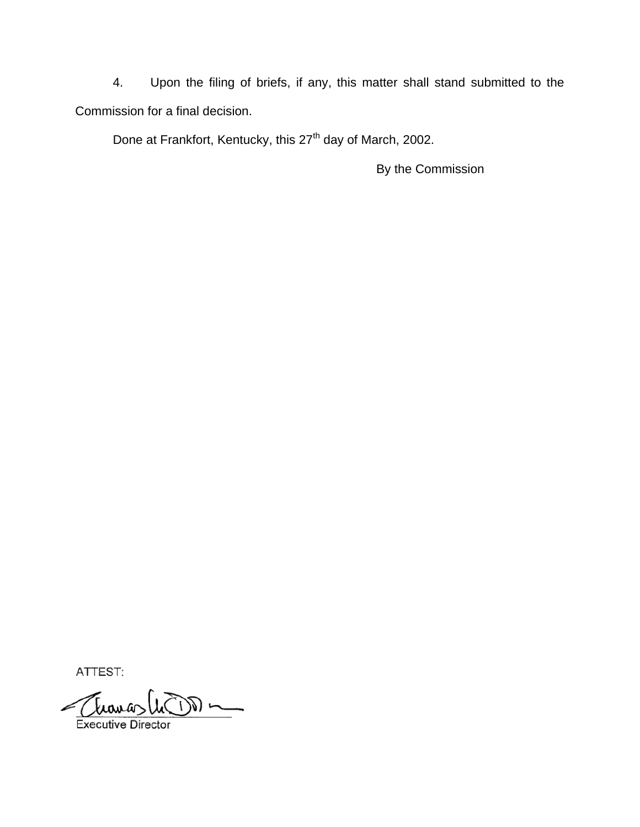4. Upon the filing of briefs, if any, this matter shall stand submitted to the Commission for a final decision.

Done at Frankfort, Kentucky, this 27<sup>th</sup> day of March, 2002.

By the Commission

ATTEST:

 $\frac{1}{\sqrt{2}}$ **Executive Director**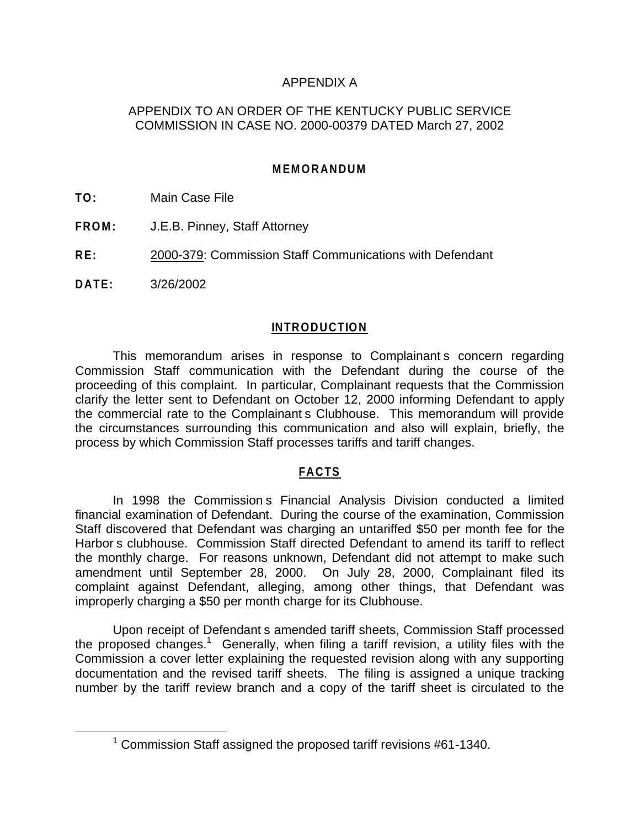# APPENDIX A

# APPENDIX TO AN ORDER OF THE KENTUCKY PUBLIC SERVICE COMMISSION IN CASE NO. 2000-00379 DATED March 27, 2002

# **MEMORANDUM**

**TO:** Main Case File

- **FROM:** J.E.B. Pinney, Staff Attorney
- **RE:** 2000-379: Commission Staff Communications with Defendant

**DATE:** 3/26/2002

#### **INTRODUCTION**

This memorandum arises in response to Complainant s concern regarding Commission Staff communication with the Defendant during the course of the proceeding of this complaint. In particular, Complainant requests that the Commission clarify the letter sent to Defendant on October 12, 2000 informing Defendant to apply the commercial rate to the Complainant s Clubhouse. This memorandum will provide the circumstances surrounding this communication and also will explain, briefly, the process by which Commission Staff processes tariffs and tariff changes.

## **FACTS**

In 1998 the Commission s Financial Analysis Division conducted a limited financial examination of Defendant. During the course of the examination, Commission Staff discovered that Defendant was charging an untariffed \$50 per month fee for the Harbor s clubhouse. Commission Staff directed Defendant to amend its tariff to reflect the monthly charge. For reasons unknown, Defendant did not attempt to make such amendment until September 28, 2000. On July 28, 2000, Complainant filed its complaint against Defendant, alleging, among other things, that Defendant was improperly charging a \$50 per month charge for its Clubhouse.

Upon receipt of Defendant s amended tariff sheets, Commission Staff processed the proposed changes.<sup>1</sup> Generally, when filing a tariff revision, a utility files with the Commission a cover letter explaining the requested revision along with any supporting documentation and the revised tariff sheets. The filing is assigned a unique tracking number by the tariff review branch and a copy of the tariff sheet is circulated to the

 $1$  Commission Staff assigned the proposed tariff revisions #61-1340.